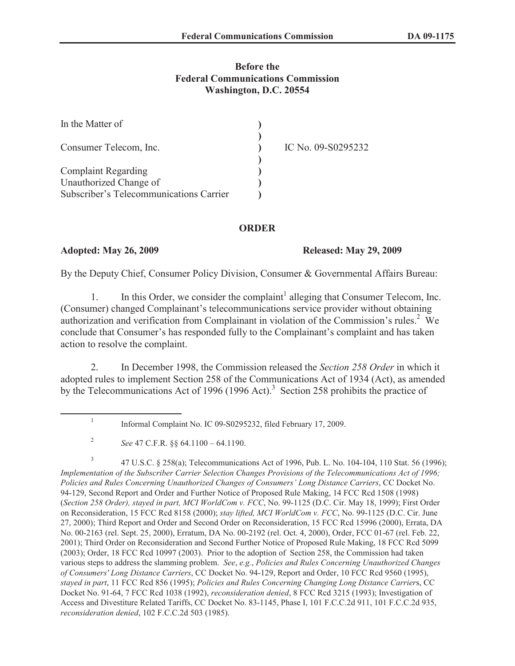## **Before the Federal Communications Commission Washington, D.C. 20554**

| In the Matter of                        |                    |
|-----------------------------------------|--------------------|
| Consumer Telecom, Inc.                  | IC No. 09-S0295232 |
| <b>Complaint Regarding</b>              |                    |
| Unauthorized Change of                  |                    |
| Subscriber's Telecommunications Carrier |                    |

### **ORDER**

### **Adopted: May 26, 2009 Released: May 29, 2009**

By the Deputy Chief, Consumer Policy Division, Consumer & Governmental Affairs Bureau:

1. In this Order, we consider the complaint<sup>1</sup> alleging that Consumer Telecom, Inc. (Consumer) changed Complainant's telecommunications service provider without obtaining authorization and verification from Complainant in violation of the Commission's rules.<sup>2</sup> We conclude that Consumer's has responded fully to the Complainant's complaint and has taken action to resolve the complaint.

2. In December 1998, the Commission released the *Section 258 Order* in which it adopted rules to implement Section 258 of the Communications Act of 1934 (Act), as amended by the Telecommunications Act of 1996 (1996 Act).<sup>3</sup> Section 258 prohibits the practice of

3 47 U.S.C. § 258(a); Telecommunications Act of 1996, Pub. L. No. 104-104, 110 Stat. 56 (1996); *Implementation of the Subscriber Carrier Selection Changes Provisions of the Telecommunications Act of 1996; Policies and Rules Concerning Unauthorized Changes of Consumers' Long Distance Carriers*, CC Docket No. 94-129, Second Report and Order and Further Notice of Proposed Rule Making, 14 FCC Rcd 1508 (1998) (*Section 258 Order), stayed in part, MCI WorldCom v. FCC*, No. 99-1125 (D.C. Cir. May 18, 1999); First Order on Reconsideration, 15 FCC Rcd 8158 (2000); *stay lifted, MCI WorldCom v. FCC*, No. 99-1125 (D.C. Cir. June 27, 2000); Third Report and Order and Second Order on Reconsideration, 15 FCC Rcd 15996 (2000), Errata, DA No. 00-2163 (rel. Sept. 25, 2000), Erratum, DA No. 00-2192 (rel. Oct. 4, 2000), Order, FCC 01-67 (rel. Feb. 22, 2001); Third Order on Reconsideration and Second Further Notice of Proposed Rule Making, 18 FCC Rcd 5099 (2003); Order, 18 FCC Rcd 10997 (2003). Prior to the adoption of Section 258, the Commission had taken various steps to address the slamming problem. *See*, *e.g.*, *Policies and Rules Concerning Unauthorized Changes of Consumers' Long Distance Carriers*, CC Docket No. 94-129, Report and Order, 10 FCC Rcd 9560 (1995), *stayed in part*, 11 FCC Rcd 856 (1995); *Policies and Rules Concerning Changing Long Distance Carrier*s, CC Docket No. 91-64, 7 FCC Rcd 1038 (1992), *reconsideration denied*, 8 FCC Rcd 3215 (1993); Investigation of Access and Divestiture Related Tariffs, CC Docket No. 83-1145, Phase I, 101 F.C.C.2d 911, 101 F.C.C.2d 935, *reconsideration denied*, 102 F.C.C.2d 503 (1985).

<sup>1</sup> Informal Complaint No. IC 09-S0295232, filed February 17, 2009.

<sup>2</sup> *See* 47 C.F.R. §§ 64.1100 – 64.1190.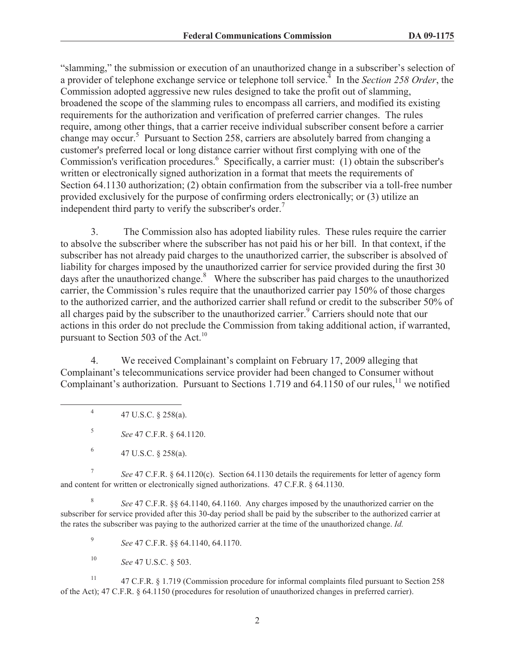"slamming," the submission or execution of an unauthorized change in a subscriber's selection of a provider of telephone exchange service or telephone toll service.<sup>4</sup> In the *Section 258 Order*, the Commission adopted aggressive new rules designed to take the profit out of slamming, broadened the scope of the slamming rules to encompass all carriers, and modified its existing requirements for the authorization and verification of preferred carrier changes. The rules require, among other things, that a carrier receive individual subscriber consent before a carrier change may occur.<sup>5</sup> Pursuant to Section 258, carriers are absolutely barred from changing a customer's preferred local or long distance carrier without first complying with one of the Commission's verification procedures.<sup>6</sup> Specifically, a carrier must: (1) obtain the subscriber's written or electronically signed authorization in a format that meets the requirements of Section 64.1130 authorization; (2) obtain confirmation from the subscriber via a toll-free number provided exclusively for the purpose of confirming orders electronically; or (3) utilize an independent third party to verify the subscriber's order.<sup>7</sup>

3. The Commission also has adopted liability rules. These rules require the carrier to absolve the subscriber where the subscriber has not paid his or her bill. In that context, if the subscriber has not already paid charges to the unauthorized carrier, the subscriber is absolved of liability for charges imposed by the unauthorized carrier for service provided during the first 30 days after the unauthorized change. $8$  Where the subscriber has paid charges to the unauthorized carrier, the Commission's rules require that the unauthorized carrier pay 150% of those charges to the authorized carrier, and the authorized carrier shall refund or credit to the subscriber 50% of all charges paid by the subscriber to the unauthorized carrier.<sup>9</sup> Carriers should note that our actions in this order do not preclude the Commission from taking additional action, if warranted, pursuant to Section 503 of the Act.<sup>10</sup>

4. We received Complainant's complaint on February 17, 2009 alleging that Complainant's telecommunications service provider had been changed to Consumer without Complainant's authorization. Pursuant to Sections 1.719 and 64.1150 of our rules,<sup>11</sup> we notified

4 47 U.S.C. § 258(a).

5 *See* 47 C.F.R. § 64.1120.

7 *See* 47 C.F.R. § 64.1120(c). Section 64.1130 details the requirements for letter of agency form and content for written or electronically signed authorizations. 47 C.F.R. § 64.1130.

8 *See* 47 C.F.R. §§ 64.1140, 64.1160. Any charges imposed by the unauthorized carrier on the subscriber for service provided after this 30-day period shall be paid by the subscriber to the authorized carrier at the rates the subscriber was paying to the authorized carrier at the time of the unauthorized change. *Id.*

9 *See* 47 C.F.R. §§ 64.1140, 64.1170.

<sup>10</sup> *See* 47 U.S.C. § 503.

<sup>11</sup> 47 C.F.R. § 1.719 (Commission procedure for informal complaints filed pursuant to Section 258 of the Act); 47 C.F.R. § 64.1150 (procedures for resolution of unauthorized changes in preferred carrier).

<sup>6</sup> 47 U.S.C. § 258(a).